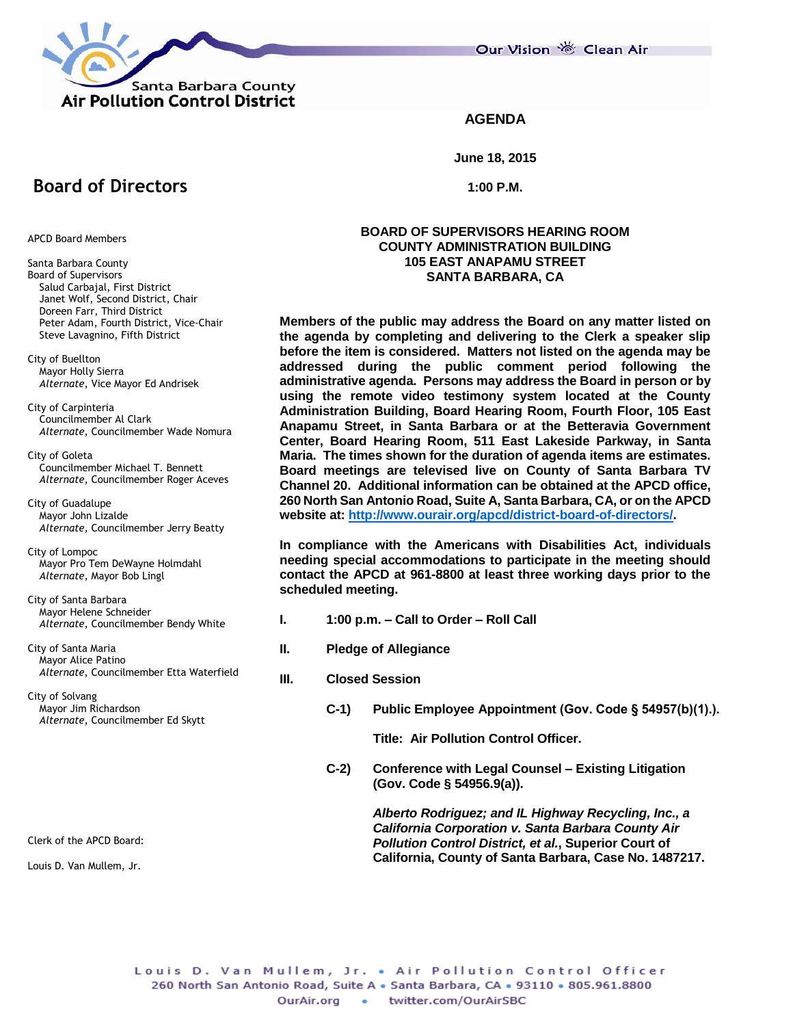

Our Vision 卷 Clean Air

## **AGENDA**

**June 18, 2015**

**1:00 P.M.**

#### **BOARD OF SUPERVISORS HEARING ROOM COUNTY ADMINISTRATION BUILDING 105 EAST ANAPAMU STREET SANTA BARBARA, CA**

**Members of the public may address the Board on any matter listed on the agenda by completing and delivering to the Clerk a speaker slip before the item is considered. Matters not listed on the agenda may be addressed during the public comment period following the administrative agenda. Persons may address the Board in person or by using the remote video testimony system located at the County Administration Building, Board Hearing Room, Fourth Floor, 105 East Anapamu Street, in Santa Barbara or at the Betteravia Government Center, Board Hearing Room, 511 East Lakeside Parkway, in Santa Maria. The times shown for the duration of agenda items are estimates. Board meetings are televised live on County of Santa Barbara TV Channel 20. Additional information can be obtained at the APCD office, 260 North San Antonio Road, Suite A, Santa Barbara, CA, or on the APCD website at: [http://www.ourair.org/apcd/district-board-of-directors/.](http://www.ourair.org/apcd/district-board-of-directors/)**

**In compliance with the Americans with Disabilities Act, individuals needing special accommodations to participate in the meeting should contact the APCD at 961-8800 at least three working days prior to the scheduled meeting.**

- **I. 1:00 p.m. – Call to Order – Roll Call**
- **II. Pledge of Allegiance**
- **III. Closed Session**
	- **C-1) Public Employee Appointment (Gov. Code § 54957(b)(1).).**

**Title: Air Pollution Control Officer.**

**C-2) Conference with Legal Counsel – Existing Litigation (Gov. Code § 54956.9(a)).**

> *Alberto Rodriguez; and IL Highway Recycling, Inc., a California Corporation v. Santa Barbara County Air Pollution Control District, et al.***, Superior Court of California, County of Santa Barbara, Case No. 1487217.**

# **Board of Directors**

APCD Board Members

- Santa Barbara County Board of Supervisors Salud Carbajal, First District Janet Wolf, Second District, Chair Doreen Farr, Third District Peter Adam, Fourth District, Vice-Chair Steve Lavagnino, Fifth District
- City of Buellton Mayor Holly Sierra *Alternate*, Vice Mayor Ed Andrisek

City of Carpinteria Councilmember Al Clark *Alternate*, Councilmember Wade Nomura

City of Goleta Councilmember Michael T. Bennett *Alternate*, Councilmember Roger Aceves

City of Guadalupe Mayor John Lizalde *Alternate*, Councilmember Jerry Beatty

City of Lompoc Mayor Pro Tem DeWayne Holmdahl *Alternate*, Mayor Bob Lingl

City of Santa Barbara Mayor Helene Schneider *Alternate*, Councilmember Bendy White

City of Santa Maria Mayor Alice Patino *Alternate*, Councilmember Etta Waterfield

City of Solvang Mayor Jim Richardson *Alternate*, Councilmember Ed Skytt

Clerk of the APCD Board:

Louis D. Van Mullem, Jr.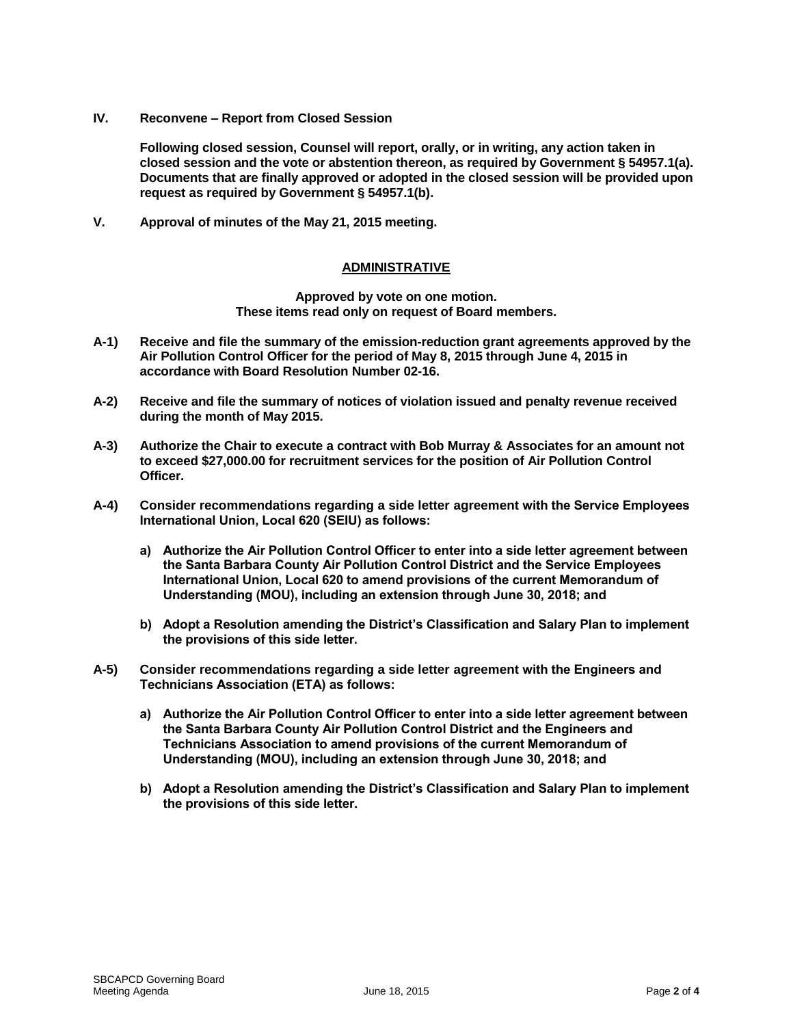**IV. Reconvene – Report from Closed Session**

**Following closed session, Counsel will report, orally, or in writing, any action taken in closed session and the vote or abstention thereon, as required by Government § 54957.1(a). Documents that are finally approved or adopted in the closed session will be provided upon request as required by Government § 54957.1(b).**

**V. Approval of minutes of the May 21, 2015 meeting.**

## **ADMINISTRATIVE**

**Approved by vote on one motion. These items read only on request of Board members.**

- **A-1) Receive and file the summary of the emission-reduction grant agreements approved by the Air Pollution Control Officer for the period of May 8, 2015 through June 4, 2015 in accordance with Board Resolution Number 02-16.**
- **A-2) Receive and file the summary of notices of violation issued and penalty revenue received during the month of May 2015.**
- **A-3) Authorize the Chair to execute a contract with Bob Murray & Associates for an amount not to exceed \$27,000.00 for recruitment services for the position of Air Pollution Control Officer.**
- **A-4) Consider recommendations regarding a side letter agreement with the Service Employees International Union, Local 620 (SEIU) as follows:**
	- **a) Authorize the Air Pollution Control Officer to enter into a side letter agreement between the Santa Barbara County Air Pollution Control District and the Service Employees International Union, Local 620 to amend provisions of the current Memorandum of Understanding (MOU), including an extension through June 30, 2018; and**
	- **b) Adopt a Resolution amending the District's Classification and Salary Plan to implement the provisions of this side letter.**
- **A-5) Consider recommendations regarding a side letter agreement with the Engineers and Technicians Association (ETA) as follows:**
	- **a) Authorize the Air Pollution Control Officer to enter into a side letter agreement between the Santa Barbara County Air Pollution Control District and the Engineers and Technicians Association to amend provisions of the current Memorandum of Understanding (MOU), including an extension through June 30, 2018; and**
	- **b) Adopt a Resolution amending the District's Classification and Salary Plan to implement the provisions of this side letter.**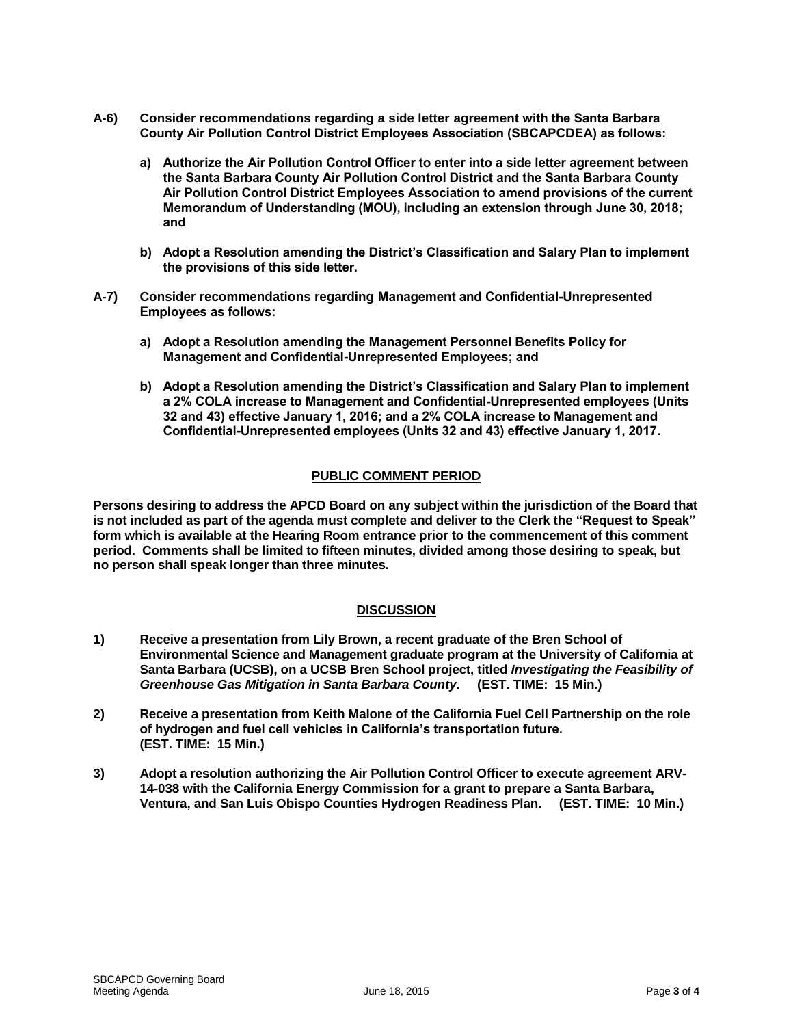- **A-6) Consider recommendations regarding a side letter agreement with the Santa Barbara County Air Pollution Control District Employees Association (SBCAPCDEA) as follows:**
	- **a) Authorize the Air Pollution Control Officer to enter into a side letter agreement between the Santa Barbara County Air Pollution Control District and the Santa Barbara County Air Pollution Control District Employees Association to amend provisions of the current Memorandum of Understanding (MOU), including an extension through June 30, 2018; and**
	- **b) Adopt a Resolution amending the District's Classification and Salary Plan to implement the provisions of this side letter.**
- **A-7) Consider recommendations regarding Management and Confidential-Unrepresented Employees as follows:**
	- **a) Adopt a Resolution amending the Management Personnel Benefits Policy for Management and Confidential-Unrepresented Employees; and**
	- **b) Adopt a Resolution amending the District's Classification and Salary Plan to implement a 2% COLA increase to Management and Confidential-Unrepresented employees (Units 32 and 43) effective January 1, 2016; and a 2% COLA increase to Management and Confidential-Unrepresented employees (Units 32 and 43) effective January 1, 2017.**

## **PUBLIC COMMENT PERIOD**

**Persons desiring to address the APCD Board on any subject within the jurisdiction of the Board that is not included as part of the agenda must complete and deliver to the Clerk the "Request to Speak" form which is available at the Hearing Room entrance prior to the commencement of this comment period. Comments shall be limited to fifteen minutes, divided among those desiring to speak, but no person shall speak longer than three minutes.**

## **DISCUSSION**

- **1) Receive a presentation from Lily Brown, a recent graduate of the Bren School of Environmental Science and Management graduate program at the University of California at Santa Barbara (UCSB), on a UCSB Bren School project, titled** *Investigating the Feasibility of Greenhouse Gas Mitigation in Santa Barbara County***. (EST. TIME: 15 Min.)**
- **2) Receive a presentation from Keith Malone of the California Fuel Cell Partnership on the role of hydrogen and fuel cell vehicles in California's transportation future. (EST. TIME: 15 Min.)**
- **3) Adopt a resolution authorizing the Air Pollution Control Officer to execute agreement ARV-14-038 with the California Energy Commission for a grant to prepare a Santa Barbara, Ventura, and San Luis Obispo Counties Hydrogen Readiness Plan. (EST. TIME: 10 Min.)**